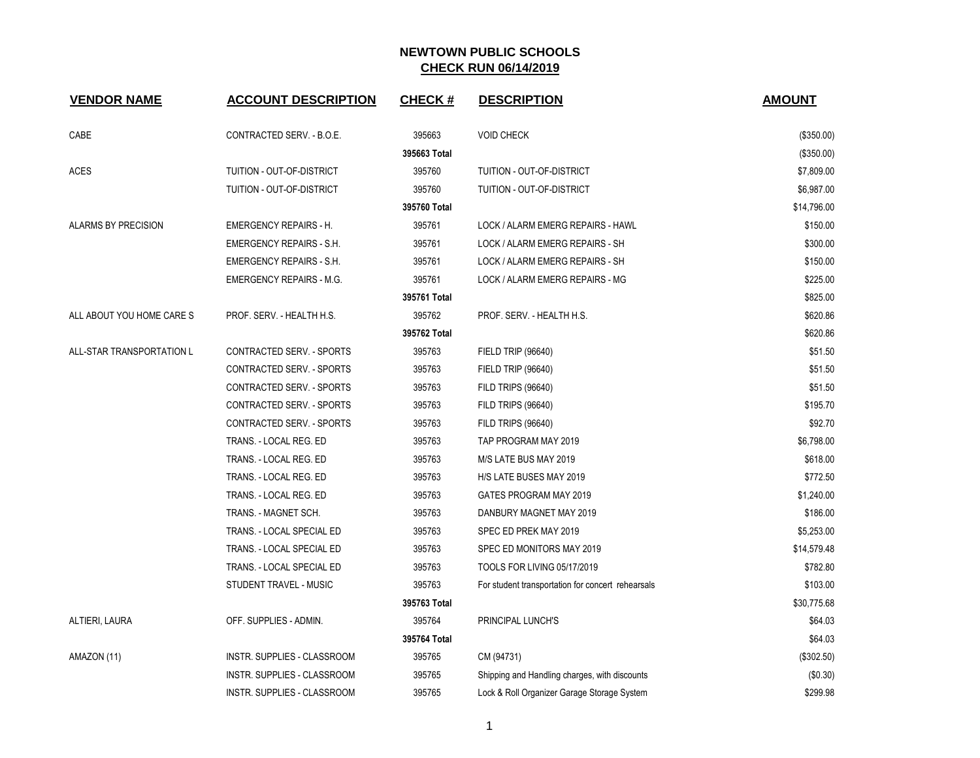| <b>VENDOR NAME</b>        | <b>ACCOUNT DESCRIPTION</b>      | <b>CHECK#</b> | <b>DESCRIPTION</b>                                | <b>AMOUNT</b> |
|---------------------------|---------------------------------|---------------|---------------------------------------------------|---------------|
| CABE                      | CONTRACTED SERV. - B.O.E.       | 395663        | <b>VOID CHECK</b>                                 | (\$350.00)    |
|                           |                                 | 395663 Total  |                                                   | (\$350.00)    |
| <b>ACES</b>               | TUITION - OUT-OF-DISTRICT       | 395760        | TUITION - OUT-OF-DISTRICT                         | \$7,809.00    |
|                           | TUITION - OUT-OF-DISTRICT       | 395760        | TUITION - OUT-OF-DISTRICT                         | \$6,987.00    |
|                           |                                 | 395760 Total  |                                                   | \$14,796.00   |
| ALARMS BY PRECISION       | <b>EMERGENCY REPAIRS - H.</b>   | 395761        | LOCK / ALARM EMERG REPAIRS - HAWL                 | \$150.00      |
|                           | <b>EMERGENCY REPAIRS - S.H.</b> | 395761        | LOCK / ALARM EMERG REPAIRS - SH                   | \$300.00      |
|                           | <b>EMERGENCY REPAIRS - S.H.</b> | 395761        | LOCK / ALARM EMERG REPAIRS - SH                   | \$150.00      |
|                           | <b>EMERGENCY REPAIRS - M.G.</b> | 395761        | LOCK / ALARM EMERG REPAIRS - MG                   | \$225.00      |
|                           |                                 | 395761 Total  |                                                   | \$825.00      |
| ALL ABOUT YOU HOME CARE S | PROF. SERV. - HEALTH H.S.       | 395762        | PROF. SERV. - HEALTH H.S.                         | \$620.86      |
|                           |                                 | 395762 Total  |                                                   | \$620.86      |
| ALL-STAR TRANSPORTATION L | CONTRACTED SERV. - SPORTS       | 395763        | <b>FIELD TRIP (96640)</b>                         | \$51.50       |
|                           | CONTRACTED SERV. - SPORTS       | 395763        | <b>FIELD TRIP (96640)</b>                         | \$51.50       |
|                           | CONTRACTED SERV. - SPORTS       | 395763        | <b>FILD TRIPS (96640)</b>                         | \$51.50       |
|                           | CONTRACTED SERV. - SPORTS       | 395763        | <b>FILD TRIPS (96640)</b>                         | \$195.70      |
|                           | CONTRACTED SERV. - SPORTS       | 395763        | <b>FILD TRIPS (96640)</b>                         | \$92.70       |
|                           | TRANS. - LOCAL REG. ED          | 395763        | TAP PROGRAM MAY 2019                              | \$6,798.00    |
|                           | TRANS. - LOCAL REG. ED          | 395763        | M/S LATE BUS MAY 2019                             | \$618.00      |
|                           | TRANS. - LOCAL REG. ED          | 395763        | H/S LATE BUSES MAY 2019                           | \$772.50      |
|                           | TRANS. - LOCAL REG. ED          | 395763        | GATES PROGRAM MAY 2019                            | \$1,240.00    |
|                           | TRANS. - MAGNET SCH.            | 395763        | DANBURY MAGNET MAY 2019                           | \$186.00      |
|                           | TRANS. - LOCAL SPECIAL ED       | 395763        | SPEC ED PREK MAY 2019                             | \$5,253.00    |
|                           | TRANS. - LOCAL SPECIAL ED       | 395763        | SPEC ED MONITORS MAY 2019                         | \$14,579.48   |
|                           | TRANS. - LOCAL SPECIAL ED       | 395763        | TOOLS FOR LIVING 05/17/2019                       | \$782.80      |
|                           | STUDENT TRAVEL - MUSIC          | 395763        | For student transportation for concert rehearsals | \$103.00      |
|                           |                                 | 395763 Total  |                                                   | \$30,775.68   |
| ALTIERI, LAURA            | OFF. SUPPLIES - ADMIN.          | 395764        | PRINCIPAL LUNCH'S                                 | \$64.03       |
|                           |                                 | 395764 Total  |                                                   | \$64.03       |
| AMAZON (11)               | INSTR. SUPPLIES - CLASSROOM     | 395765        | CM (94731)                                        | (\$302.50)    |
|                           | INSTR. SUPPLIES - CLASSROOM     | 395765        | Shipping and Handling charges, with discounts     | (\$0.30)      |
|                           | INSTR. SUPPLIES - CLASSROOM     | 395765        | Lock & Roll Organizer Garage Storage System       | \$299.98      |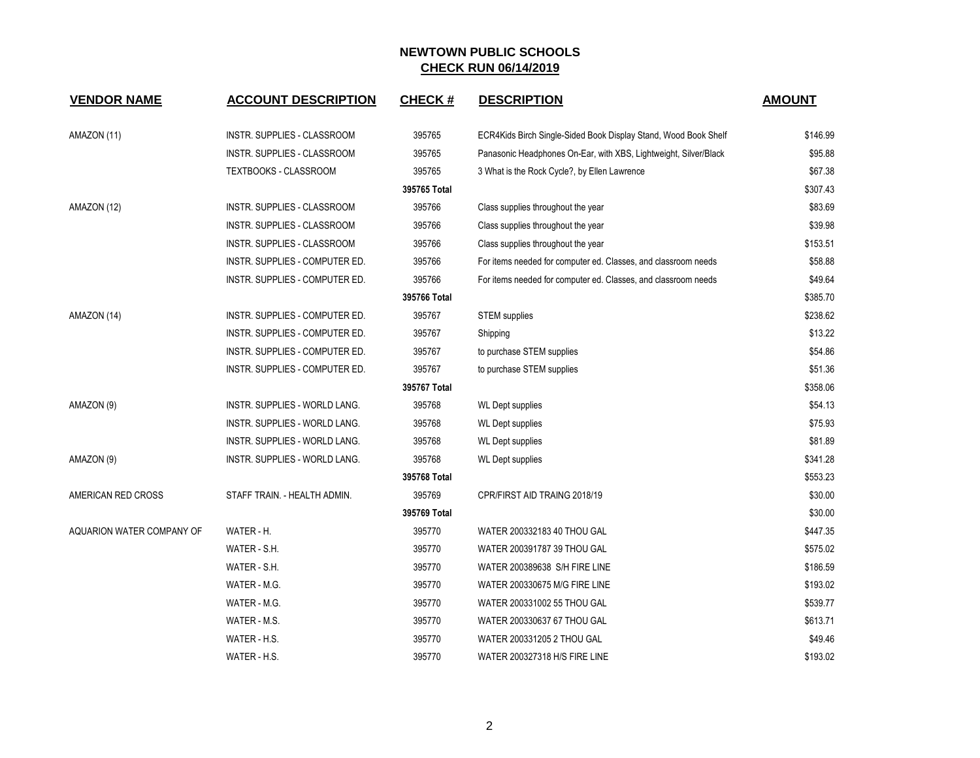| <b>VENDOR NAME</b>               | <b>ACCOUNT DESCRIPTION</b>                                       | <b>CHECK#</b>          | <b>DESCRIPTION</b>                                                                                   | <b>AMOUNT</b>       |
|----------------------------------|------------------------------------------------------------------|------------------------|------------------------------------------------------------------------------------------------------|---------------------|
| AMAZON (11)                      | INSTR. SUPPLIES - CLASSROOM                                      | 395765                 | ECR4Kids Birch Single-Sided Book Display Stand, Wood Book Shelf                                      | \$146.99            |
|                                  | INSTR. SUPPLIES - CLASSROOM                                      | 395765                 | Panasonic Headphones On-Ear, with XBS, Lightweight, Silver/Black                                     | \$95.88             |
|                                  | <b>TEXTBOOKS - CLASSROOM</b>                                     | 395765                 | 3 What is the Rock Cycle?, by Ellen Lawrence                                                         | \$67.38             |
|                                  |                                                                  | 395765 Total           |                                                                                                      | \$307.43            |
| AMAZON (12)                      | INSTR. SUPPLIES - CLASSROOM                                      | 395766                 |                                                                                                      | \$83.69             |
|                                  | INSTR. SUPPLIES - CLASSROOM                                      | 395766                 | Class supplies throughout the year                                                                   | \$39.98             |
|                                  | INSTR. SUPPLIES - CLASSROOM                                      | 395766                 | Class supplies throughout the year                                                                   | \$153.51            |
|                                  | INSTR. SUPPLIES - COMPUTER ED.                                   | 395766                 | Class supplies throughout the year<br>For items needed for computer ed. Classes, and classroom needs | \$58.88             |
|                                  |                                                                  | 395766                 |                                                                                                      | \$49.64             |
|                                  | INSTR. SUPPLIES - COMPUTER ED.                                   | 395766 Total           | For items needed for computer ed. Classes, and classroom needs                                       | \$385.70            |
| AMAZON (14)                      | INSTR. SUPPLIES - COMPUTER ED.                                   | 395767                 |                                                                                                      | \$238.62            |
|                                  | INSTR. SUPPLIES - COMPUTER ED.                                   | 395767                 | <b>STEM</b> supplies                                                                                 | \$13.22             |
|                                  |                                                                  |                        | Shipping                                                                                             |                     |
|                                  | INSTR. SUPPLIES - COMPUTER ED.<br>INSTR. SUPPLIES - COMPUTER ED. | 395767<br>395767       | to purchase STEM supplies<br>to purchase STEM supplies                                               | \$54.86<br>\$51.36  |
|                                  |                                                                  | 395767 Total           |                                                                                                      | \$358.06            |
|                                  | INSTR. SUPPLIES - WORLD LANG.                                    | 395768                 |                                                                                                      | \$54.13             |
| AMAZON (9)                       |                                                                  |                        | <b>WL Dept supplies</b>                                                                              |                     |
|                                  | INSTR. SUPPLIES - WORLD LANG.<br>INSTR. SUPPLIES - WORLD LANG.   | 395768<br>395768       | <b>WL Dept supplies</b><br><b>WL Dept supplies</b>                                                   | \$75.93<br>\$81.89  |
|                                  |                                                                  |                        |                                                                                                      | \$341.28            |
| AMAZON (9)                       | INSTR. SUPPLIES - WORLD LANG.                                    | 395768<br>395768 Total | <b>WL Dept supplies</b>                                                                              | \$553.23            |
| AMERICAN RED CROSS               | STAFF TRAIN. - HEALTH ADMIN.                                     | 395769                 | CPR/FIRST AID TRAING 2018/19                                                                         | \$30.00             |
|                                  |                                                                  | 395769 Total           |                                                                                                      | \$30.00             |
| <b>AQUARION WATER COMPANY OF</b> | WATER - H.                                                       | 395770                 | WATER 200332183 40 THOU GAL                                                                          | \$447.35            |
|                                  | WATER - S.H.                                                     | 395770                 | WATER 200391787 39 THOU GAL                                                                          | \$575.02            |
|                                  | WATER - S.H.                                                     | 395770                 | WATER 200389638 S/H FIRE LINE                                                                        | \$186.59            |
|                                  | WATER - M.G.                                                     | 395770                 | WATER 200330675 M/G FIRE LINE                                                                        | \$193.02            |
|                                  | WATER - M.G.                                                     | 395770                 | WATER 200331002 55 THOU GAL                                                                          | \$539.77            |
|                                  |                                                                  |                        |                                                                                                      |                     |
|                                  | WATER - M.S.<br>WATER - H.S.                                     | 395770<br>395770       | WATER 200330637 67 THOU GAL<br>WATER 200331205 2 THOU GAL                                            | \$613.71<br>\$49.46 |
|                                  |                                                                  |                        |                                                                                                      |                     |
|                                  | WATER - H.S.                                                     | 395770                 | WATER 200327318 H/S FIRE LINE                                                                        | \$193.02            |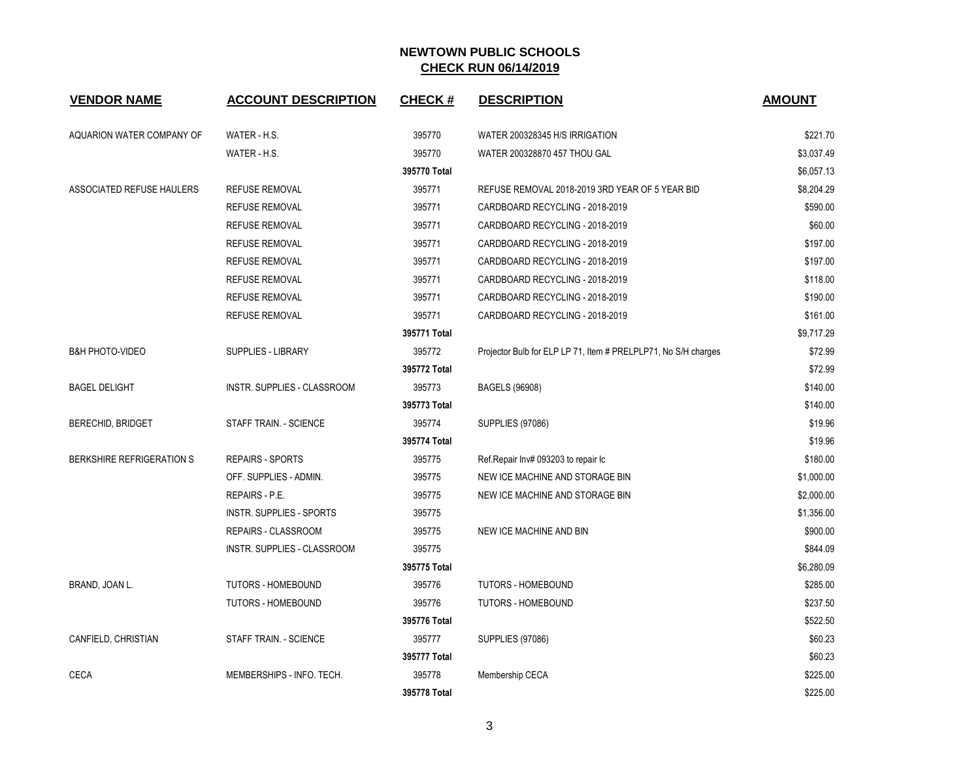| <b>VENDOR NAME</b>         | <b>ACCOUNT DESCRIPTION</b>    | <b>CHECK#</b> | <b>DESCRIPTION</b>                                             | <b>AMOUNT</b> |
|----------------------------|-------------------------------|---------------|----------------------------------------------------------------|---------------|
| AQUARION WATER COMPANY OF  | WATER - H.S.                  | 395770        | WATER 200328345 H/S IRRIGATION                                 | \$221.70      |
|                            | WATER - H.S.                  | 395770        | WATER 200328870 457 THOU GAL                                   | \$3,037.49    |
|                            |                               | 395770 Total  |                                                                | \$6,057.13    |
| ASSOCIATED REFUSE HAULERS  | <b>REFUSE REMOVAL</b>         | 395771        | REFUSE REMOVAL 2018-2019 3RD YEAR OF 5 YEAR BID                | \$8,204.29    |
|                            | <b>REFUSE REMOVAL</b>         | 395771        | CARDBOARD RECYCLING - 2018-2019                                | \$590.00      |
|                            | <b>REFUSE REMOVAL</b>         | 395771        | CARDBOARD RECYCLING - 2018-2019                                | \$60.00       |
|                            | <b>REFUSE REMOVAL</b>         | 395771        | CARDBOARD RECYCLING - 2018-2019                                | \$197.00      |
|                            | <b>REFUSE REMOVAL</b>         | 395771        | CARDBOARD RECYCLING - 2018-2019                                | \$197.00      |
|                            | <b>REFUSE REMOVAL</b>         | 395771        | CARDBOARD RECYCLING - 2018-2019                                | \$118.00      |
|                            | <b>REFUSE REMOVAL</b>         | 395771        | CARDBOARD RECYCLING - 2018-2019                                | \$190.00      |
|                            | <b>REFUSE REMOVAL</b>         | 395771        | CARDBOARD RECYCLING - 2018-2019                                | \$161.00      |
|                            |                               | 395771 Total  |                                                                | \$9,717.29    |
| <b>B&amp;H PHOTO-VIDEO</b> | SUPPLIES - LIBRARY            | 395772        | Projector Bulb for ELP LP 71, Item # PRELPLP71, No S/H charges | \$72.99       |
|                            |                               | 395772 Total  |                                                                | \$72.99       |
| <b>BAGEL DELIGHT</b>       | INSTR. SUPPLIES - CLASSROOM   | 395773        | BAGELS (96908)                                                 | \$140.00      |
|                            |                               | 395773 Total  |                                                                | \$140.00      |
| <b>BERECHID, BRIDGET</b>   | STAFF TRAIN. - SCIENCE        | 395774        | <b>SUPPLIES (97086)</b>                                        | \$19.96       |
|                            |                               | 395774 Total  |                                                                | \$19.96       |
| BERKSHIRE REFRIGERATION S  | <b>REPAIRS - SPORTS</b>       | 395775        | Ref.Repair Inv# 093203 to repair Ic                            | \$180.00      |
|                            | OFF. SUPPLIES - ADMIN.        | 395775        | NEW ICE MACHINE AND STORAGE BIN                                | \$1,000.00    |
|                            | REPAIRS - P.E.                | 395775        | NEW ICE MACHINE AND STORAGE BIN                                | \$2,000.00    |
|                            | INSTR. SUPPLIES - SPORTS      | 395775        |                                                                | \$1,356.00    |
|                            | REPAIRS - CLASSROOM           | 395775        | NEW ICE MACHINE AND BIN                                        | \$900.00      |
|                            | INSTR. SUPPLIES - CLASSROOM   | 395775        |                                                                | \$844.09      |
|                            |                               | 395775 Total  |                                                                | \$6,280.09    |
| BRAND, JOAN L.             | TUTORS - HOMEBOUND            | 395776        | <b>TUTORS - HOMEBOUND</b>                                      | \$285.00      |
|                            | <b>TUTORS - HOMEBOUND</b>     | 395776        | <b>TUTORS - HOMEBOUND</b>                                      | \$237.50      |
|                            |                               | 395776 Total  |                                                                | \$522.50      |
| CANFIELD, CHRISTIAN        | <b>STAFF TRAIN. - SCIENCE</b> | 395777        | <b>SUPPLIES (97086)</b>                                        | \$60.23       |
|                            |                               | 395777 Total  |                                                                | \$60.23       |
| <b>CECA</b>                | MEMBERSHIPS - INFO. TECH.     | 395778        | Membership CECA                                                | \$225.00      |
|                            |                               | 395778 Total  |                                                                | \$225.00      |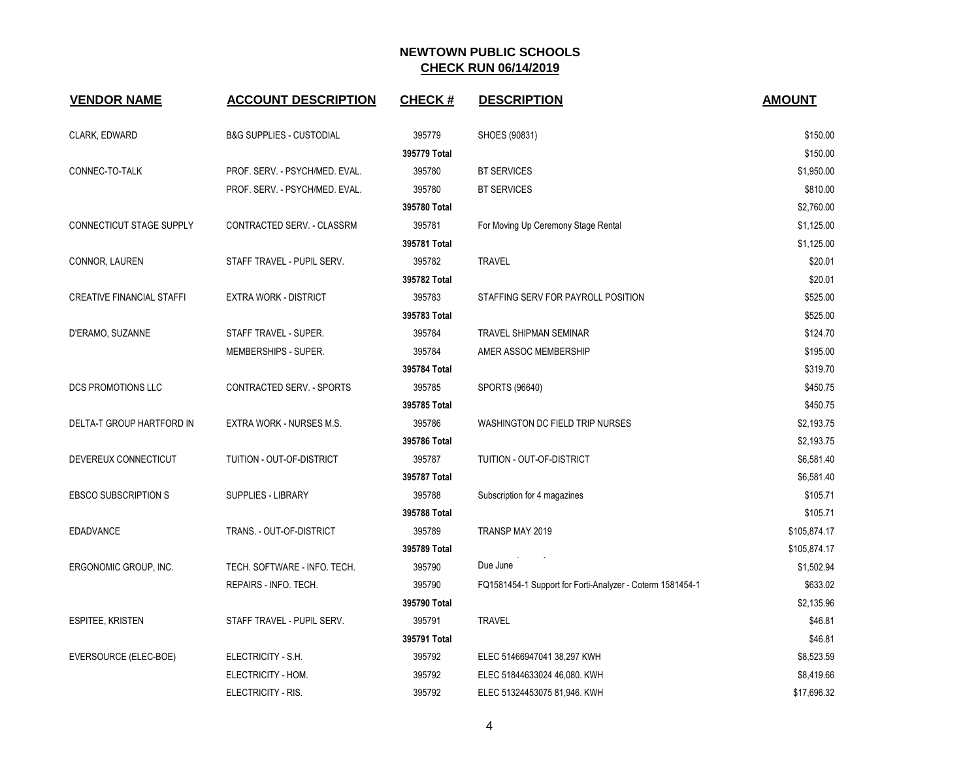| <b>VENDOR NAME</b>               | <b>ACCOUNT DESCRIPTION</b>     | <b>CHECK#</b> | <b>DESCRIPTION</b>                                        | <b>AMOUNT</b> |
|----------------------------------|--------------------------------|---------------|-----------------------------------------------------------|---------------|
| CLARK, EDWARD                    | B&G SUPPLIES - CUSTODIAL       | 395779        | SHOES (90831)                                             | \$150.00      |
|                                  |                                | 395779 Total  |                                                           | \$150.00      |
| CONNEC-TO-TALK                   | PROF. SERV. - PSYCH/MED. EVAL. | 395780        | <b>BT SERVICES</b>                                        | \$1,950.00    |
|                                  | PROF. SERV. - PSYCH/MED. EVAL. | 395780        | <b>BT SERVICES</b>                                        | \$810.00      |
|                                  |                                | 395780 Total  |                                                           | \$2,760.00    |
| <b>CONNECTICUT STAGE SUPPLY</b>  | CONTRACTED SERV. - CLASSRM     | 395781        | For Moving Up Ceremony Stage Rental                       | \$1,125.00    |
|                                  |                                | 395781 Total  |                                                           | \$1,125.00    |
| CONNOR, LAUREN                   | STAFF TRAVEL - PUPIL SERV.     | 395782        | <b>TRAVEL</b>                                             | \$20.01       |
|                                  |                                | 395782 Total  |                                                           | \$20.01       |
| <b>CREATIVE FINANCIAL STAFFI</b> | <b>EXTRA WORK - DISTRICT</b>   | 395783        | STAFFING SERV FOR PAYROLL POSITION                        | \$525.00      |
|                                  |                                | 395783 Total  |                                                           | \$525.00      |
| D'ERAMO, SUZANNE                 | STAFF TRAVEL - SUPER.          | 395784        | <b>TRAVEL SHIPMAN SEMINAR</b>                             | \$124.70      |
|                                  | MEMBERSHIPS - SUPER.           | 395784        | AMER ASSOC MEMBERSHIP                                     | \$195.00      |
|                                  |                                | 395784 Total  |                                                           | \$319.70      |
| DCS PROMOTIONS LLC               | CONTRACTED SERV. - SPORTS      | 395785        | SPORTS (96640)                                            | \$450.75      |
|                                  |                                | 395785 Total  |                                                           | \$450.75      |
| DELTA-T GROUP HARTFORD IN        | EXTRA WORK - NURSES M.S.       | 395786        | WASHINGTON DC FIELD TRIP NURSES                           | \$2,193.75    |
|                                  |                                | 395786 Total  |                                                           | \$2,193.75    |
| DEVEREUX CONNECTICUT             | TUITION - OUT-OF-DISTRICT      | 395787        | TUITION - OUT-OF-DISTRICT                                 | \$6,581.40    |
|                                  |                                | 395787 Total  |                                                           | \$6,581.40    |
| <b>EBSCO SUBSCRIPTION S</b>      | <b>SUPPLIES - LIBRARY</b>      | 395788        | Subscription for 4 magazines                              | \$105.71      |
|                                  |                                | 395788 Total  |                                                           | \$105.71      |
| <b>EDADVANCE</b>                 | TRANS. - OUT-OF-DISTRICT       | 395789        | TRANSP MAY 2019                                           | \$105,874.17  |
|                                  |                                | 395789 Total  |                                                           | \$105,874.17  |
| ERGONOMIC GROUP, INC.            | TECH. SOFTWARE - INFO. TECH.   | 395790        | Due June                                                  | \$1,502.94    |
|                                  | REPAIRS - INFO. TECH.          | 395790        | FQ1581454-1 Support for Forti-Analyzer - Coterm 1581454-1 | \$633.02      |
|                                  |                                | 395790 Total  |                                                           | \$2,135.96    |
| <b>ESPITEE, KRISTEN</b>          | STAFF TRAVEL - PUPIL SERV.     | 395791        | <b>TRAVEL</b>                                             | \$46.81       |
|                                  |                                | 395791 Total  |                                                           | \$46.81       |
| EVERSOURCE (ELEC-BOE)            | ELECTRICITY - S.H.             | 395792        | ELEC 51466947041 38,297 KWH                               | \$8,523.59    |
|                                  | ELECTRICITY - HOM.             | 395792        | ELEC 51844633024 46,080. KWH                              | \$8,419.66    |
|                                  | ELECTRICITY - RIS.             | 395792        | ELEC 51324453075 81,946. KWH                              | \$17,696.32   |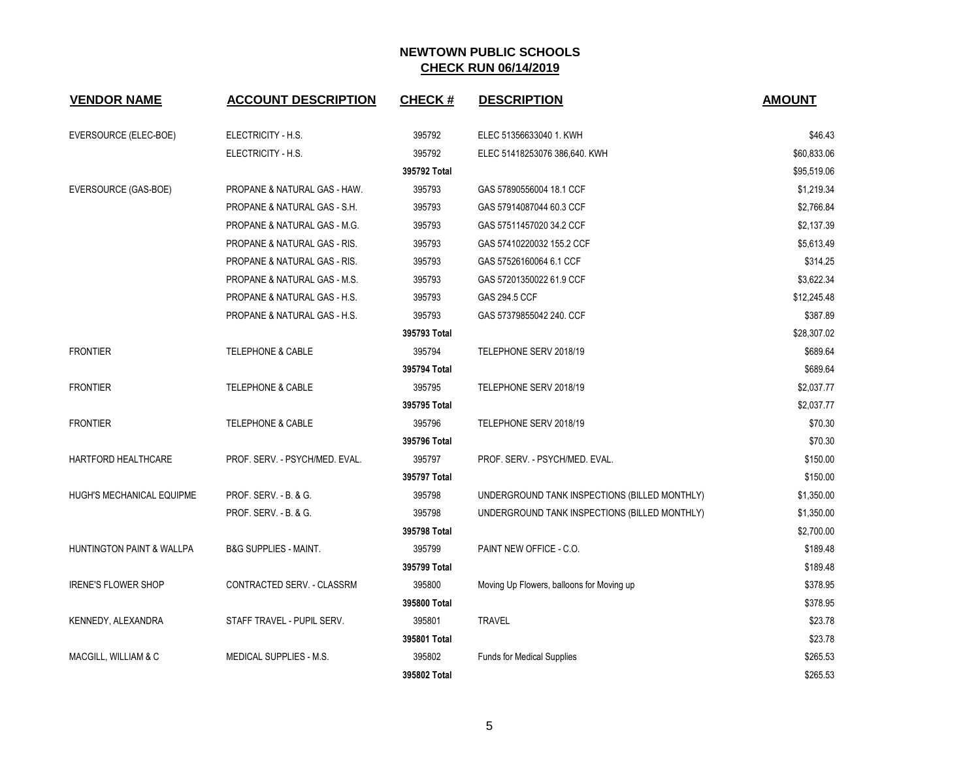| <b>VENDOR NAME</b>         | <b>ACCOUNT DESCRIPTION</b>       | <b>CHECK#</b> | <b>DESCRIPTION</b>                            | <b>AMOUNT</b> |
|----------------------------|----------------------------------|---------------|-----------------------------------------------|---------------|
| EVERSOURCE (ELEC-BOE)      | ELECTRICITY - H.S.               | 395792        | ELEC 51356633040 1. KWH                       | \$46.43       |
|                            | ELECTRICITY - H.S.               | 395792        | ELEC 51418253076 386,640. KWH                 | \$60,833.06   |
|                            |                                  | 395792 Total  |                                               | \$95,519.06   |
| EVERSOURCE (GAS-BOE)       | PROPANE & NATURAL GAS - HAW.     | 395793        | GAS 57890556004 18.1 CCF                      | \$1,219.34    |
|                            | PROPANE & NATURAL GAS - S.H.     | 395793        | GAS 57914087044 60.3 CCF                      | \$2,766.84    |
|                            | PROPANE & NATURAL GAS - M.G.     | 395793        | GAS 57511457020 34.2 CCF                      | \$2,137.39    |
|                            | PROPANE & NATURAL GAS - RIS.     | 395793        | GAS 57410220032 155.2 CCF                     | \$5,613.49    |
|                            | PROPANE & NATURAL GAS - RIS.     | 395793        | GAS 57526160064 6.1 CCF                       | \$314.25      |
|                            | PROPANE & NATURAL GAS - M.S.     | 395793        | GAS 57201350022 61.9 CCF                      | \$3,622.34    |
|                            | PROPANE & NATURAL GAS - H.S.     | 395793        | GAS 294.5 CCF                                 | \$12,245.48   |
|                            | PROPANE & NATURAL GAS - H.S.     | 395793        | GAS 57379855042 240. CCF                      | \$387.89      |
|                            |                                  | 395793 Total  |                                               | \$28,307.02   |
| <b>FRONTIER</b>            | <b>TELEPHONE &amp; CABLE</b>     | 395794        | TELEPHONE SERV 2018/19                        | \$689.64      |
|                            |                                  | 395794 Total  |                                               | \$689.64      |
| <b>FRONTIER</b>            | <b>TELEPHONE &amp; CABLE</b>     | 395795        | TELEPHONE SERV 2018/19                        | \$2,037.77    |
|                            |                                  | 395795 Total  |                                               | \$2,037.77    |
| <b>FRONTIER</b>            | <b>TELEPHONE &amp; CABLE</b>     | 395796        | TELEPHONE SERV 2018/19                        | \$70.30       |
|                            |                                  | 395796 Total  |                                               | \$70.30       |
| HARTFORD HEALTHCARE        | PROF. SERV. - PSYCH/MED. EVAL.   | 395797        | PROF. SERV. - PSYCH/MED. EVAL.                | \$150.00      |
|                            |                                  | 395797 Total  |                                               | \$150.00      |
| HUGH'S MECHANICAL EQUIPME  | PROF. SERV. - B. & G.            | 395798        | UNDERGROUND TANK INSPECTIONS (BILLED MONTHLY) | \$1,350.00    |
|                            | PROF. SERV. - B. & G.            | 395798        | UNDERGROUND TANK INSPECTIONS (BILLED MONTHLY) | \$1,350.00    |
|                            |                                  | 395798 Total  |                                               | \$2,700.00    |
| HUNTINGTON PAINT & WALLPA  | <b>B&amp;G SUPPLIES - MAINT.</b> | 395799        | PAINT NEW OFFICE - C.O.                       | \$189.48      |
|                            |                                  | 395799 Total  |                                               | \$189.48      |
| <b>IRENE'S FLOWER SHOP</b> | CONTRACTED SERV. - CLASSRM       | 395800        | Moving Up Flowers, balloons for Moving up     | \$378.95      |
|                            |                                  | 395800 Total  |                                               | \$378.95      |
| KENNEDY, ALEXANDRA         | STAFF TRAVEL - PUPIL SERV.       | 395801        | <b>TRAVEL</b>                                 | \$23.78       |
|                            |                                  | 395801 Total  |                                               | \$23.78       |
| MACGILL, WILLIAM & C       | MEDICAL SUPPLIES - M.S.          | 395802        | <b>Funds for Medical Supplies</b>             | \$265.53      |
|                            |                                  | 395802 Total  |                                               | \$265.53      |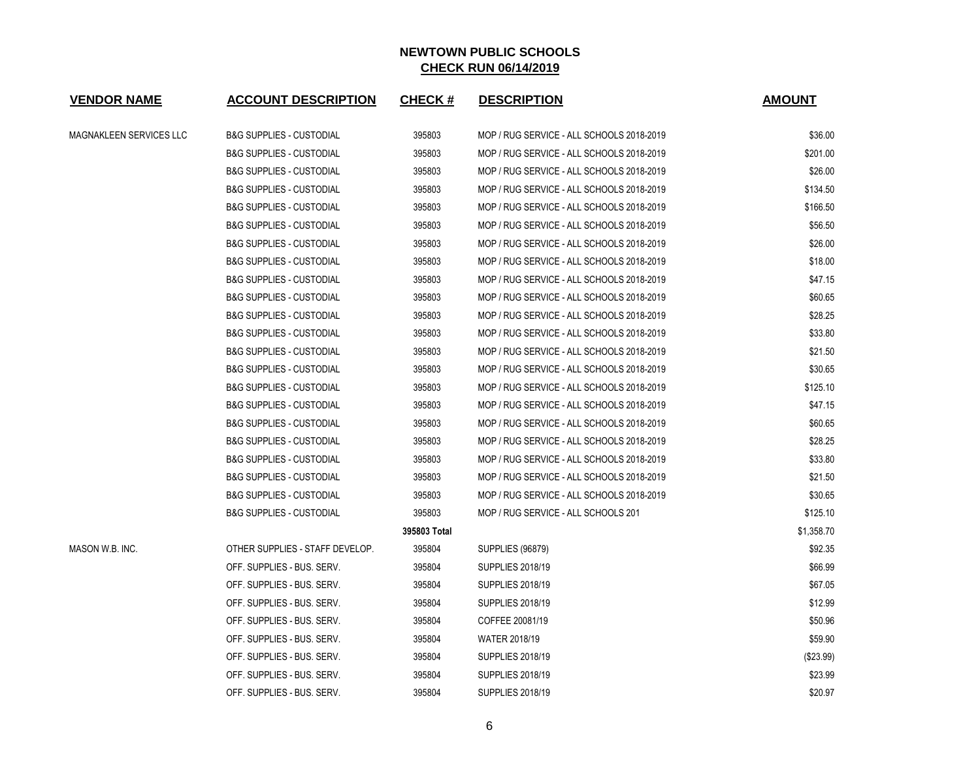| <b>VENDOR NAME</b>      | <b>ACCOUNT DESCRIPTION</b>          | <b>CHECK#</b> | <b>DESCRIPTION</b>                        | <b>AMOUNT</b> |
|-------------------------|-------------------------------------|---------------|-------------------------------------------|---------------|
| MAGNAKLEEN SERVICES LLC | <b>B&amp;G SUPPLIES - CUSTODIAL</b> | 395803        | MOP / RUG SERVICE - ALL SCHOOLS 2018-2019 | \$36.00       |
|                         | <b>B&amp;G SUPPLIES - CUSTODIAL</b> | 395803        | MOP / RUG SERVICE - ALL SCHOOLS 2018-2019 | \$201.00      |
|                         | <b>B&amp;G SUPPLIES - CUSTODIAL</b> | 395803        | MOP / RUG SERVICE - ALL SCHOOLS 2018-2019 | \$26.00       |
|                         | <b>B&amp;G SUPPLIES - CUSTODIAL</b> | 395803        | MOP / RUG SERVICE - ALL SCHOOLS 2018-2019 | \$134.50      |
|                         | <b>B&amp;G SUPPLIES - CUSTODIAL</b> | 395803        | MOP / RUG SERVICE - ALL SCHOOLS 2018-2019 | \$166.50      |
|                         | <b>B&amp;G SUPPLIES - CUSTODIAL</b> | 395803        | MOP / RUG SERVICE - ALL SCHOOLS 2018-2019 | \$56.50       |
|                         | <b>B&amp;G SUPPLIES - CUSTODIAL</b> | 395803        | MOP / RUG SERVICE - ALL SCHOOLS 2018-2019 | \$26.00       |
|                         | <b>B&amp;G SUPPLIES - CUSTODIAL</b> | 395803        | MOP / RUG SERVICE - ALL SCHOOLS 2018-2019 | \$18.00       |
|                         | <b>B&amp;G SUPPLIES - CUSTODIAL</b> | 395803        | MOP / RUG SERVICE - ALL SCHOOLS 2018-2019 | \$47.15       |
|                         | <b>B&amp;G SUPPLIES - CUSTODIAL</b> | 395803        | MOP / RUG SERVICE - ALL SCHOOLS 2018-2019 | \$60.65       |
|                         | <b>B&amp;G SUPPLIES - CUSTODIAL</b> | 395803        | MOP / RUG SERVICE - ALL SCHOOLS 2018-2019 | \$28.25       |
|                         | <b>B&amp;G SUPPLIES - CUSTODIAL</b> | 395803        | MOP / RUG SERVICE - ALL SCHOOLS 2018-2019 | \$33.80       |
|                         | <b>B&amp;G SUPPLIES - CUSTODIAL</b> | 395803        | MOP / RUG SERVICE - ALL SCHOOLS 2018-2019 | \$21.50       |
|                         | <b>B&amp;G SUPPLIES - CUSTODIAL</b> | 395803        | MOP / RUG SERVICE - ALL SCHOOLS 2018-2019 | \$30.65       |
|                         | <b>B&amp;G SUPPLIES - CUSTODIAL</b> | 395803        | MOP / RUG SERVICE - ALL SCHOOLS 2018-2019 | \$125.10      |
|                         | <b>B&amp;G SUPPLIES - CUSTODIAL</b> | 395803        | MOP / RUG SERVICE - ALL SCHOOLS 2018-2019 | \$47.15       |
|                         | <b>B&amp;G SUPPLIES - CUSTODIAL</b> | 395803        | MOP / RUG SERVICE - ALL SCHOOLS 2018-2019 | \$60.65       |
|                         | <b>B&amp;G SUPPLIES - CUSTODIAL</b> | 395803        | MOP / RUG SERVICE - ALL SCHOOLS 2018-2019 | \$28.25       |
|                         | <b>B&amp;G SUPPLIES - CUSTODIAL</b> | 395803        | MOP / RUG SERVICE - ALL SCHOOLS 2018-2019 | \$33.80       |
|                         | <b>B&amp;G SUPPLIES - CUSTODIAL</b> | 395803        | MOP / RUG SERVICE - ALL SCHOOLS 2018-2019 | \$21.50       |
|                         | <b>B&amp;G SUPPLIES - CUSTODIAL</b> | 395803        | MOP / RUG SERVICE - ALL SCHOOLS 2018-2019 | \$30.65       |
|                         | <b>B&amp;G SUPPLIES - CUSTODIAL</b> | 395803        | MOP / RUG SERVICE - ALL SCHOOLS 201       | \$125.10      |
|                         |                                     | 395803 Total  |                                           | \$1,358.70    |
| MASON W.B. INC.         | OTHER SUPPLIES - STAFF DEVELOP.     | 395804        | <b>SUPPLIES (96879)</b>                   | \$92.35       |
|                         | OFF. SUPPLIES - BUS. SERV.          | 395804        | <b>SUPPLIES 2018/19</b>                   | \$66.99       |
|                         | OFF. SUPPLIES - BUS. SERV.          | 395804        | <b>SUPPLIES 2018/19</b>                   | \$67.05       |
|                         | OFF. SUPPLIES - BUS. SERV.          | 395804        | <b>SUPPLIES 2018/19</b>                   | \$12.99       |
|                         | OFF. SUPPLIES - BUS. SERV.          | 395804        | COFFEE 20081/19                           | \$50.96       |
|                         | OFF. SUPPLIES - BUS. SERV.          | 395804        | <b>WATER 2018/19</b>                      | \$59.90       |
|                         | OFF. SUPPLIES - BUS. SERV.          | 395804        | <b>SUPPLIES 2018/19</b>                   | (\$23.99)     |
|                         | OFF. SUPPLIES - BUS. SERV.          | 395804        | <b>SUPPLIES 2018/19</b>                   | \$23.99       |
|                         | OFF. SUPPLIES - BUS. SERV.          | 395804        | <b>SUPPLIES 2018/19</b>                   | \$20.97       |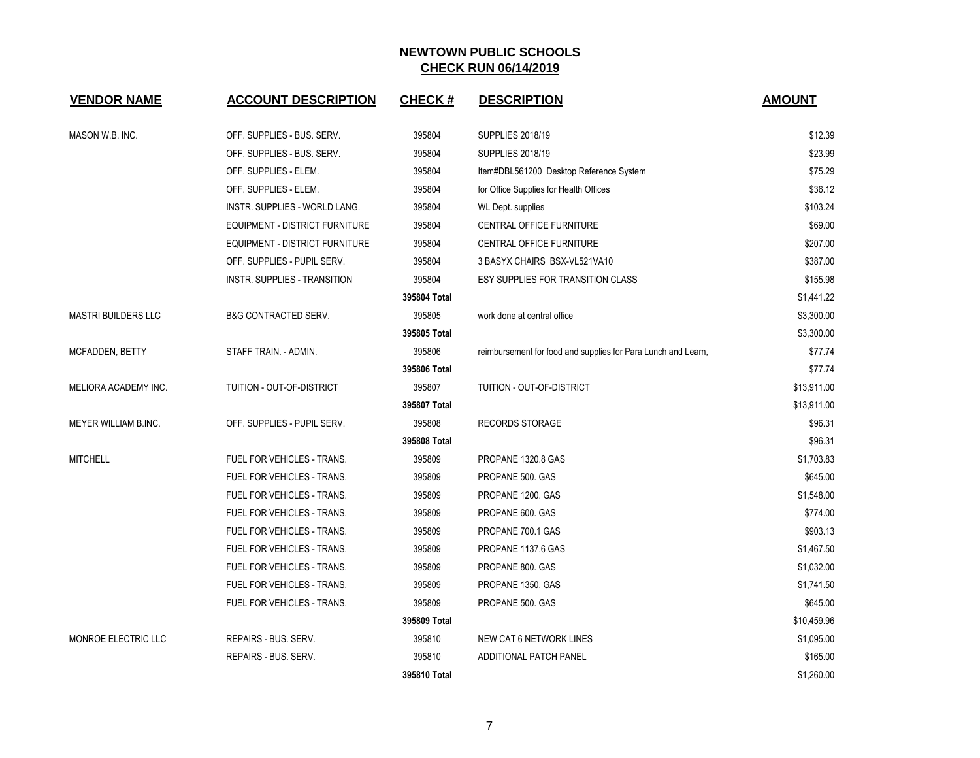| <b>VENDOR NAME</b>         | <b>ACCOUNT DESCRIPTION</b>           | <b>CHECK#</b> | <b>DESCRIPTION</b>                                            | <b>AMOUNT</b> |
|----------------------------|--------------------------------------|---------------|---------------------------------------------------------------|---------------|
| MASON W.B. INC.            | OFF. SUPPLIES - BUS. SERV.           | 395804        | <b>SUPPLIES 2018/19</b>                                       | \$12.39       |
|                            | OFF. SUPPLIES - BUS. SERV.           | 395804        | <b>SUPPLIES 2018/19</b>                                       | \$23.99       |
|                            | OFF. SUPPLIES - ELEM.                | 395804        | Item#DBL561200 Desktop Reference System                       | \$75.29       |
|                            | OFF. SUPPLIES - ELEM.                | 395804        | for Office Supplies for Health Offices                        | \$36.12       |
|                            | <b>INSTR. SUPPLIES - WORLD LANG.</b> | 395804        | WL Dept. supplies                                             | \$103.24      |
|                            | EQUIPMENT - DISTRICT FURNITURE       | 395804        | CENTRAL OFFICE FURNITURE                                      | \$69.00       |
|                            | EQUIPMENT - DISTRICT FURNITURE       | 395804        | CENTRAL OFFICE FURNITURE                                      | \$207.00      |
|                            | OFF. SUPPLIES - PUPIL SERV.          | 395804        | 3 BASYX CHAIRS BSX-VL521VA10                                  | \$387.00      |
|                            | INSTR. SUPPLIES - TRANSITION         | 395804        | <b>ESY SUPPLIES FOR TRANSITION CLASS</b>                      | \$155.98      |
|                            |                                      | 395804 Total  |                                                               | \$1,441.22    |
| <b>MASTRI BUILDERS LLC</b> | <b>B&amp;G CONTRACTED SERV.</b>      | 395805        | work done at central office                                   | \$3,300.00    |
|                            |                                      | 395805 Total  |                                                               | \$3,300.00    |
| MCFADDEN, BETTY            | STAFF TRAIN. - ADMIN.                | 395806        | reimbursement for food and supplies for Para Lunch and Learn, | \$77.74       |
|                            |                                      | 395806 Total  |                                                               | \$77.74       |
| MELIORA ACADEMY INC.       | TUITION - OUT-OF-DISTRICT            | 395807        | <b>TUITION - OUT-OF-DISTRICT</b>                              | \$13,911.00   |
|                            |                                      | 395807 Total  |                                                               | \$13,911.00   |
| MEYER WILLIAM B.INC.       | OFF. SUPPLIES - PUPIL SERV.          | 395808        | <b>RECORDS STORAGE</b>                                        | \$96.31       |
|                            |                                      | 395808 Total  |                                                               | \$96.31       |
| <b>MITCHELL</b>            | <b>FUEL FOR VEHICLES - TRANS.</b>    | 395809        | PROPANE 1320.8 GAS                                            | \$1,703.83    |
|                            | FUEL FOR VEHICLES - TRANS.           | 395809        | PROPANE 500. GAS                                              | \$645.00      |
|                            | FUEL FOR VEHICLES - TRANS.           | 395809        | PROPANE 1200. GAS                                             | \$1,548.00    |
|                            | <b>FUEL FOR VEHICLES - TRANS.</b>    | 395809        | PROPANE 600. GAS                                              | \$774.00      |
|                            | FUEL FOR VEHICLES - TRANS.           | 395809        | PROPANE 700.1 GAS                                             | \$903.13      |
|                            | FUEL FOR VEHICLES - TRANS.           | 395809        | PROPANE 1137.6 GAS                                            | \$1,467.50    |
|                            | <b>FUEL FOR VEHICLES - TRANS.</b>    | 395809        | PROPANE 800. GAS                                              | \$1,032.00    |
|                            | FUEL FOR VEHICLES - TRANS.           | 395809        | PROPANE 1350. GAS                                             | \$1,741.50    |
|                            | FUEL FOR VEHICLES - TRANS.           | 395809        | PROPANE 500. GAS                                              | \$645.00      |
|                            |                                      | 395809 Total  |                                                               | \$10,459.96   |
| MONROE ELECTRIC LLC        | REPAIRS - BUS, SERV.                 | 395810        | <b>NEW CAT 6 NETWORK LINES</b>                                | \$1,095.00    |
|                            | REPAIRS - BUS. SERV.                 | 395810        | ADDITIONAL PATCH PANEL                                        | \$165.00      |
|                            |                                      | 395810 Total  |                                                               | \$1,260.00    |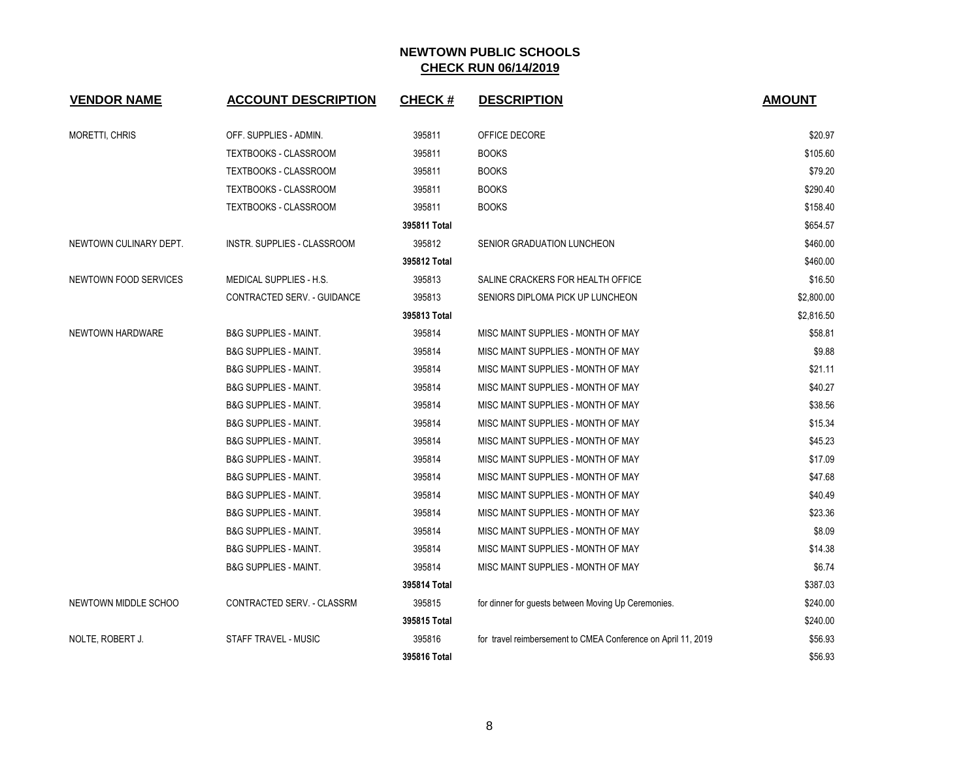| <b>VENDOR NAME</b>     | <b>ACCOUNT DESCRIPTION</b>       | <b>CHECK#</b> | <b>DESCRIPTION</b>                                            | <b>AMOUNT</b> |
|------------------------|----------------------------------|---------------|---------------------------------------------------------------|---------------|
| <b>MORETTI, CHRIS</b>  | OFF. SUPPLIES - ADMIN.           | 395811        | OFFICE DECORE                                                 | \$20.97       |
|                        | <b>TEXTBOOKS - CLASSROOM</b>     | 395811        | <b>BOOKS</b>                                                  | \$105.60      |
|                        | <b>TEXTBOOKS - CLASSROOM</b>     | 395811        | <b>BOOKS</b>                                                  | \$79.20       |
|                        | TEXTBOOKS - CLASSROOM            | 395811        | <b>BOOKS</b>                                                  | \$290.40      |
|                        | <b>TEXTBOOKS - CLASSROOM</b>     | 395811        | <b>BOOKS</b>                                                  | \$158.40      |
|                        |                                  | 395811 Total  |                                                               | \$654.57      |
| NEWTOWN CULINARY DEPT. | INSTR. SUPPLIES - CLASSROOM      | 395812        | SENIOR GRADUATION LUNCHEON                                    | \$460.00      |
|                        |                                  | 395812 Total  |                                                               | \$460.00      |
| NEWTOWN FOOD SERVICES  | MEDICAL SUPPLIES - H.S.          | 395813        | SALINE CRACKERS FOR HEALTH OFFICE                             | \$16.50       |
|                        | CONTRACTED SERV. - GUIDANCE      | 395813        | SENIORS DIPLOMA PICK UP LUNCHEON                              | \$2,800.00    |
|                        |                                  | 395813 Total  |                                                               | \$2,816.50    |
| NEWTOWN HARDWARE       | <b>B&amp;G SUPPLIES - MAINT.</b> | 395814        | MISC MAINT SUPPLIES - MONTH OF MAY                            | \$58.81       |
|                        | <b>B&amp;G SUPPLIES - MAINT.</b> | 395814        | MISC MAINT SUPPLIES - MONTH OF MAY                            | \$9.88        |
|                        | <b>B&amp;G SUPPLIES - MAINT.</b> | 395814        | MISC MAINT SUPPLIES - MONTH OF MAY                            | \$21.11       |
|                        | <b>B&amp;G SUPPLIES - MAINT.</b> | 395814        | MISC MAINT SUPPLIES - MONTH OF MAY                            | \$40.27       |
|                        | <b>B&amp;G SUPPLIES - MAINT.</b> | 395814        | MISC MAINT SUPPLIES - MONTH OF MAY                            | \$38.56       |
|                        | <b>B&amp;G SUPPLIES - MAINT.</b> | 395814        | MISC MAINT SUPPLIES - MONTH OF MAY                            | \$15.34       |
|                        | <b>B&amp;G SUPPLIES - MAINT.</b> | 395814        | MISC MAINT SUPPLIES - MONTH OF MAY                            | \$45.23       |
|                        | <b>B&amp;G SUPPLIES - MAINT.</b> | 395814        | MISC MAINT SUPPLIES - MONTH OF MAY                            | \$17.09       |
|                        | <b>B&amp;G SUPPLIES - MAINT.</b> | 395814        | MISC MAINT SUPPLIES - MONTH OF MAY                            | \$47.68       |
|                        | <b>B&amp;G SUPPLIES - MAINT.</b> | 395814        | MISC MAINT SUPPLIES - MONTH OF MAY                            | \$40.49       |
|                        | <b>B&amp;G SUPPLIES - MAINT.</b> | 395814        | MISC MAINT SUPPLIES - MONTH OF MAY                            | \$23.36       |
|                        | <b>B&amp;G SUPPLIES - MAINT.</b> | 395814        | MISC MAINT SUPPLIES - MONTH OF MAY                            | \$8.09        |
|                        | <b>B&amp;G SUPPLIES - MAINT.</b> | 395814        | MISC MAINT SUPPLIES - MONTH OF MAY                            | \$14.38       |
|                        | <b>B&amp;G SUPPLIES - MAINT.</b> | 395814        | MISC MAINT SUPPLIES - MONTH OF MAY                            | \$6.74        |
|                        |                                  | 395814 Total  |                                                               | \$387.03      |
| NEWTOWN MIDDLE SCHOO   | CONTRACTED SERV. - CLASSRM       | 395815        | for dinner for guests between Moving Up Ceremonies.           | \$240.00      |
|                        |                                  | 395815 Total  |                                                               | \$240.00      |
| NOLTE, ROBERT J.       | <b>STAFF TRAVEL - MUSIC</b>      | 395816        | for travel reimbersement to CMEA Conference on April 11, 2019 | \$56.93       |
|                        |                                  | 395816 Total  |                                                               | \$56.93       |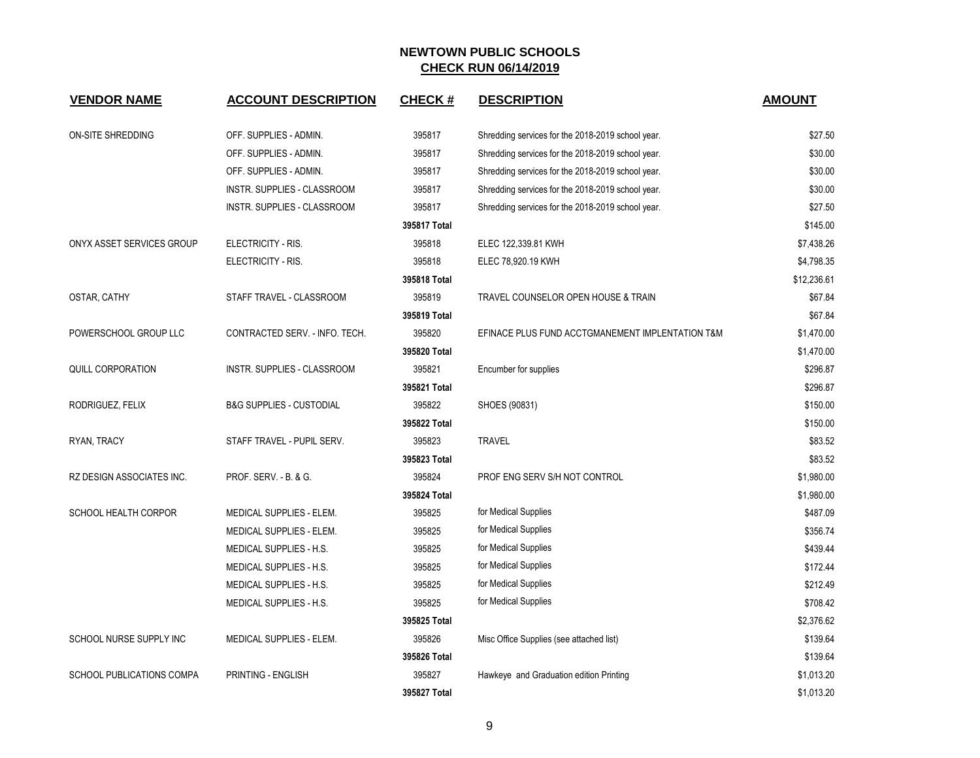| <b>VENDOR NAME</b>               | <b>ACCOUNT DESCRIPTION</b>          | <b>CHECK#</b> | <b>DESCRIPTION</b>                                | <b>AMOUNT</b> |
|----------------------------------|-------------------------------------|---------------|---------------------------------------------------|---------------|
| ON-SITE SHREDDING                | OFF. SUPPLIES - ADMIN.              | 395817        | Shredding services for the 2018-2019 school year. | \$27.50       |
|                                  | OFF. SUPPLIES - ADMIN.              | 395817        | Shredding services for the 2018-2019 school year. | \$30.00       |
|                                  | OFF. SUPPLIES - ADMIN.              | 395817        | Shredding services for the 2018-2019 school year. | \$30.00       |
|                                  | INSTR. SUPPLIES - CLASSROOM         | 395817        | Shredding services for the 2018-2019 school year. | \$30.00       |
|                                  | INSTR. SUPPLIES - CLASSROOM         | 395817        | Shredding services for the 2018-2019 school year. | \$27.50       |
|                                  |                                     | 395817 Total  |                                                   | \$145.00      |
| ONYX ASSET SERVICES GROUP        | ELECTRICITY - RIS.                  | 395818        | ELEC 122,339.81 KWH                               | \$7,438.26    |
|                                  | ELECTRICITY - RIS.                  | 395818        | ELEC 78,920.19 KWH                                | \$4,798.35    |
|                                  |                                     | 395818 Total  |                                                   | \$12,236.61   |
| OSTAR, CATHY                     | STAFF TRAVEL - CLASSROOM            | 395819        | TRAVEL COUNSELOR OPEN HOUSE & TRAIN               | \$67.84       |
|                                  |                                     | 395819 Total  |                                                   | \$67.84       |
| POWERSCHOOL GROUP LLC            | CONTRACTED SERV. - INFO. TECH.      | 395820        | EFINACE PLUS FUND ACCTGMANEMENT IMPLENTATION T&M  | \$1,470.00    |
|                                  |                                     | 395820 Total  |                                                   | \$1,470.00    |
| QUILL CORPORATION                | INSTR. SUPPLIES - CLASSROOM         | 395821        | Encumber for supplies                             | \$296.87      |
|                                  |                                     | 395821 Total  |                                                   | \$296.87      |
| RODRIGUEZ, FELIX                 | <b>B&amp;G SUPPLIES - CUSTODIAL</b> | 395822        | SHOES (90831)                                     | \$150.00      |
|                                  |                                     | 395822 Total  |                                                   | \$150.00      |
| RYAN, TRACY                      | STAFF TRAVEL - PUPIL SERV.          | 395823        | <b>TRAVEL</b>                                     | \$83.52       |
|                                  |                                     | 395823 Total  |                                                   | \$83.52       |
| RZ DESIGN ASSOCIATES INC.        | PROF. SERV. - B. & G.               | 395824        | PROF ENG SERV S/H NOT CONTROL                     | \$1,980.00    |
|                                  |                                     | 395824 Total  |                                                   | \$1,980.00    |
| SCHOOL HEALTH CORPOR             | MEDICAL SUPPLIES - ELEM.            | 395825        | for Medical Supplies                              | \$487.09      |
|                                  | MEDICAL SUPPLIES - ELEM.            | 395825        | for Medical Supplies                              | \$356.74      |
|                                  | MEDICAL SUPPLIES - H.S.             | 395825        | for Medical Supplies                              | \$439.44      |
|                                  | <b>MEDICAL SUPPLIES - H.S.</b>      | 395825        | for Medical Supplies                              | \$172.44      |
|                                  | MEDICAL SUPPLIES - H.S.             | 395825        | for Medical Supplies                              | \$212.49      |
|                                  | MEDICAL SUPPLIES - H.S.             | 395825        | for Medical Supplies                              | \$708.42      |
|                                  |                                     | 395825 Total  |                                                   | \$2,376.62    |
| SCHOOL NURSE SUPPLY INC          | <b>MEDICAL SUPPLIES - ELEM.</b>     | 395826        | Misc Office Supplies (see attached list)          | \$139.64      |
|                                  |                                     | 395826 Total  |                                                   | \$139.64      |
| <b>SCHOOL PUBLICATIONS COMPA</b> | PRINTING - ENGLISH                  | 395827        | Hawkeye and Graduation edition Printing           | \$1,013.20    |
|                                  |                                     | 395827 Total  |                                                   | \$1,013.20    |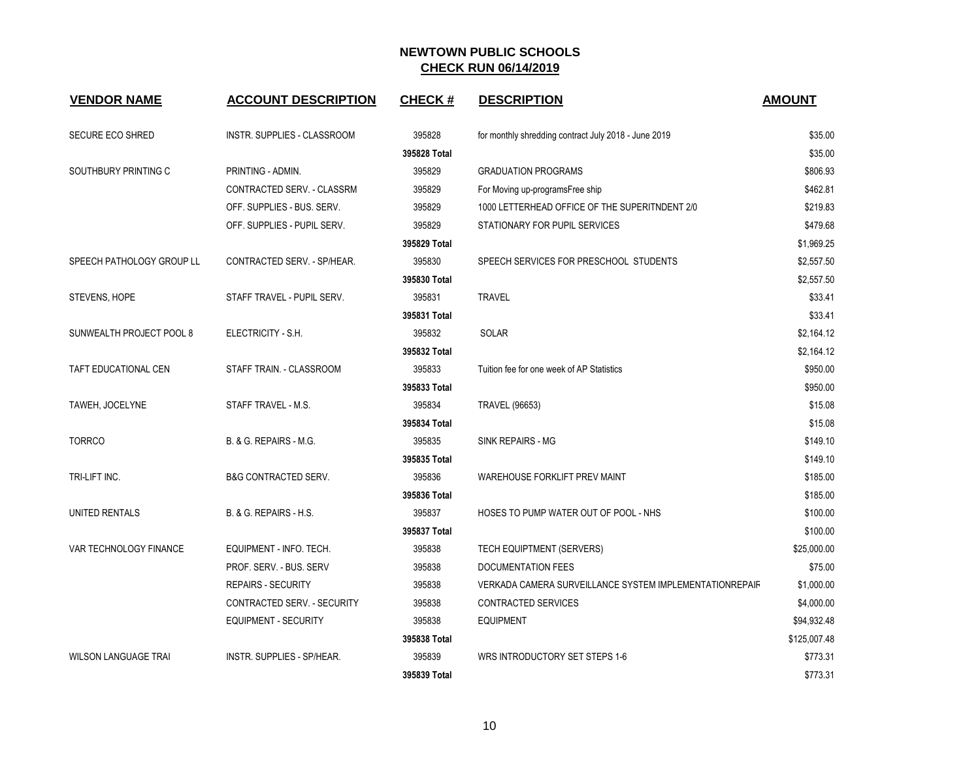| <b>VENDOR NAME</b>          | <b>ACCOUNT DESCRIPTION</b>      | <b>CHECK#</b> | <b>DESCRIPTION</b>                                      | <b>AMOUNT</b> |
|-----------------------------|---------------------------------|---------------|---------------------------------------------------------|---------------|
| <b>SECURE ECO SHRED</b>     | INSTR. SUPPLIES - CLASSROOM     | 395828        | for monthly shredding contract July 2018 - June 2019    | \$35.00       |
|                             |                                 | 395828 Total  |                                                         | \$35.00       |
| SOUTHBURY PRINTING C        | PRINTING - ADMIN.               | 395829        | <b>GRADUATION PROGRAMS</b>                              | \$806.93      |
|                             | CONTRACTED SERV. - CLASSRM      | 395829        | For Moving up-programsFree ship                         | \$462.81      |
|                             | OFF. SUPPLIES - BUS. SERV.      | 395829        | 1000 LETTERHEAD OFFICE OF THE SUPERITNDENT 2/0          | \$219.83      |
|                             | OFF. SUPPLIES - PUPIL SERV.     | 395829        | STATIONARY FOR PUPIL SERVICES                           | \$479.68      |
|                             |                                 | 395829 Total  |                                                         | \$1,969.25    |
| SPEECH PATHOLOGY GROUP LL   | CONTRACTED SERV. - SP/HEAR.     | 395830        | SPEECH SERVICES FOR PRESCHOOL STUDENTS                  | \$2,557.50    |
|                             |                                 | 395830 Total  |                                                         | \$2,557.50    |
| STEVENS, HOPE               | STAFF TRAVEL - PUPIL SERV.      | 395831        | <b>TRAVEL</b>                                           | \$33.41       |
|                             |                                 | 395831 Total  |                                                         | \$33.41       |
| SUNWEALTH PROJECT POOL 8    | ELECTRICITY - S.H.              | 395832        | SOLAR                                                   | \$2,164.12    |
|                             |                                 | 395832 Total  |                                                         | \$2,164.12    |
| TAFT EDUCATIONAL CEN        | STAFF TRAIN. - CLASSROOM        | 395833        | Tuition fee for one week of AP Statistics               | \$950.00      |
|                             |                                 | 395833 Total  |                                                         | \$950.00      |
| TAWEH, JOCELYNE             | STAFF TRAVEL - M.S.             | 395834        | <b>TRAVEL (96653)</b>                                   | \$15.08       |
|                             |                                 | 395834 Total  |                                                         | \$15.08       |
| <b>TORRCO</b>               | B. & G. REPAIRS - M.G.          | 395835        | <b>SINK REPAIRS - MG</b>                                | \$149.10      |
|                             |                                 | 395835 Total  |                                                         | \$149.10      |
| TRI-LIFT INC.               | <b>B&amp;G CONTRACTED SERV.</b> | 395836        | WAREHOUSE FORKLIFT PREV MAINT                           | \$185.00      |
|                             |                                 | 395836 Total  |                                                         | \$185.00      |
| UNITED RENTALS              | B. & G. REPAIRS - H.S.          | 395837        | HOSES TO PUMP WATER OUT OF POOL - NHS                   | \$100.00      |
|                             |                                 | 395837 Total  |                                                         | \$100.00      |
| VAR TECHNOLOGY FINANCE      | EQUIPMENT - INFO. TECH.         | 395838        | TECH EQUIPTMENT (SERVERS)                               | \$25,000.00   |
|                             | PROF. SERV. - BUS. SERV         | 395838        | <b>DOCUMENTATION FEES</b>                               | \$75.00       |
|                             | <b>REPAIRS - SECURITY</b>       | 395838        | VERKADA CAMERA SURVEILLANCE SYSTEM IMPLEMENTATIONREPAIR | \$1,000.00    |
|                             | CONTRACTED SERV. - SECURITY     | 395838        | <b>CONTRACTED SERVICES</b>                              | \$4,000.00    |
|                             | EQUIPMENT - SECURITY            | 395838        | <b>EQUIPMENT</b>                                        | \$94,932.48   |
|                             |                                 | 395838 Total  |                                                         | \$125,007.48  |
| <b>WILSON LANGUAGE TRAI</b> | INSTR. SUPPLIES - SP/HEAR.      | 395839        | WRS INTRODUCTORY SET STEPS 1-6                          | \$773.31      |
|                             |                                 | 395839 Total  |                                                         | \$773.31      |